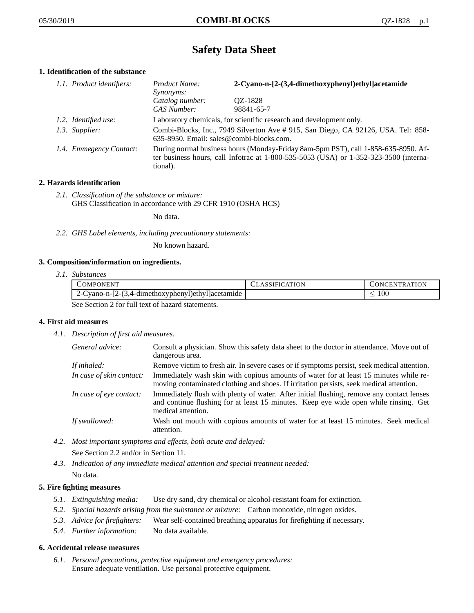# **Safety Data Sheet**

# **1. Identification of the substance**

| 1.1. Product identifiers: | Product Name:<br>Synonyms:     | 2-Cyano-n-[2-(3,4-dimethoxyphenyl)ethyl]acetamide                                                                                                                           |  |
|---------------------------|--------------------------------|-----------------------------------------------------------------------------------------------------------------------------------------------------------------------------|--|
|                           | Catalog number:<br>CAS Number: | QZ-1828<br>98841-65-7                                                                                                                                                       |  |
| 1.2. Identified use:      |                                | Laboratory chemicals, for scientific research and development only.                                                                                                         |  |
| 1.3. Supplier:            |                                | Combi-Blocks, Inc., 7949 Silverton Ave # 915, San Diego, CA 92126, USA. Tel: 858-<br>635-8950. Email: sales@combi-blocks.com.                                               |  |
| 1.4. Emmegency Contact:   | tional).                       | During normal business hours (Monday-Friday 8am-5pm PST), call 1-858-635-8950. Af-<br>ter business hours, call Infotrac at 1-800-535-5053 (USA) or 1-352-323-3500 (interna- |  |

# **2. Hazards identification**

*2.1. Classification of the substance or mixture:* GHS Classification in accordance with 29 CFR 1910 (OSHA HCS)

No data.

*2.2. GHS Label elements, including precautionary statements:*

No known hazard.

# **3. Composition/information on ingredients.**

*3.1. Substances*

|                                                  | COMPONENT                                         | <b>CLASSIFICATION</b> | <b>CONCENTRATION</b> |
|--------------------------------------------------|---------------------------------------------------|-----------------------|----------------------|
|                                                  | 2-Cyano-n-[2-(3,4-dimethoxyphenyl)ethyl]acetamide |                       | .00                  |
| Soo Soction 2 for full toxt of hazard statements |                                                   |                       |                      |

See Section 2 for full text of hazard statements.

# **4. First aid measures**

*4.1. Description of first aid measures.*

| General advice:          | Consult a physician. Show this safety data sheet to the doctor in attendance. Move out of<br>dangerous area.                                                                                            |
|--------------------------|---------------------------------------------------------------------------------------------------------------------------------------------------------------------------------------------------------|
| If inhaled:              | Remove victim to fresh air. In severe cases or if symptoms persist, seek medical attention.                                                                                                             |
| In case of skin contact: | Immediately wash skin with copious amounts of water for at least 15 minutes while re-<br>moving contaminated clothing and shoes. If irritation persists, seek medical attention.                        |
| In case of eye contact:  | Immediately flush with plenty of water. After initial flushing, remove any contact lenses<br>and continue flushing for at least 15 minutes. Keep eye wide open while rinsing. Get<br>medical attention. |
| If swallowed:            | Wash out mouth with copious amounts of water for at least 15 minutes. Seek medical<br>attention.                                                                                                        |

*4.2. Most important symptoms and effects, both acute and delayed:*

See Section 2.2 and/or in Section 11.

*4.3. Indication of any immediate medical attention and special treatment needed:* No data.

# **5. Fire fighting measures**

- *5.1. Extinguishing media:* Use dry sand, dry chemical or alcohol-resistant foam for extinction.
- *5.2. Special hazards arising from the substance or mixture:* Carbon monoxide, nitrogen oxides.
- *5.3. Advice for firefighters:* Wear self-contained breathing apparatus for firefighting if necessary.
- *5.4. Further information:* No data available.

# **6. Accidental release measures**

*6.1. Personal precautions, protective equipment and emergency procedures:* Ensure adequate ventilation. Use personal protective equipment.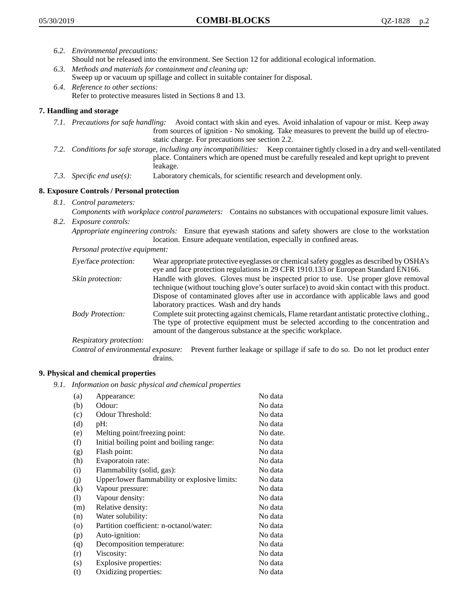- *6.2. Environmental precautions:* Should not be released into the environment. See Section 12 for additional ecological information.
- *6.3. Methods and materials for containment and cleaning up:* Sweep up or vacuum up spillage and collect in suitable container for disposal.
- *6.4. Reference to other sections:* Refer to protective measures listed in Sections 8 and 13.

# **7. Handling and storage**

- *7.1. Precautions for safe handling:* Avoid contact with skin and eyes. Avoid inhalation of vapour or mist. Keep away from sources of ignition - No smoking. Take measures to prevent the build up of electrostatic charge. For precautions see section 2.2.
- *7.2. Conditions for safe storage, including any incompatibilities:* Keep container tightly closed in a dry and well-ventilated place. Containers which are opened must be carefully resealed and kept upright to prevent leakage.
- *7.3. Specific end use(s):* Laboratory chemicals, for scientific research and development only.

# **8. Exposure Controls / Personal protection**

- *8.1. Control parameters:*
- *Components with workplace control parameters:* Contains no substances with occupational exposure limit values. *8.2. Exposure controls:*

*Appropriate engineering controls:* Ensure that eyewash stations and safety showers are close to the workstation location. Ensure adequate ventilation, especially in confined areas.

*Personal protective equipment:*

| Eye/face protection:    | Wear appropriate protective eyeglasses or chemical safety goggles as described by OSHA's<br>eye and face protection regulations in 29 CFR 1910.133 or European Standard EN166.                                                                                                                                         |
|-------------------------|------------------------------------------------------------------------------------------------------------------------------------------------------------------------------------------------------------------------------------------------------------------------------------------------------------------------|
| Skin protection:        | Handle with gloves. Gloves must be inspected prior to use. Use proper glove removal<br>technique (without touching glove's outer surface) to avoid skin contact with this product.<br>Dispose of contaminated gloves after use in accordance with applicable laws and good<br>laboratory practices. Wash and dry hands |
| <b>Body Protection:</b> | Complete suit protecting against chemicals, Flame retardant antistatic protective clothing.,<br>The type of protective equipment must be selected according to the concentration and<br>amount of the dangerous substance at the specific workplace.                                                                   |
| Respiratory protection: |                                                                                                                                                                                                                                                                                                                        |

Control of environmental exposure: Prevent further leakage or spillage if safe to do so. Do not let product enter drains.

# **9. Physical and chemical properties**

*9.1. Information on basic physical and chemical properties*

| (a)                          | Appearance:                                   | No data  |
|------------------------------|-----------------------------------------------|----------|
| (b)                          | Odour:                                        | No data  |
| (c)                          | Odour Threshold:                              | No data  |
| (d)                          | pH:                                           | No data  |
| (e)                          | Melting point/freezing point:                 | No date. |
| (f)                          | Initial boiling point and boiling range:      | No data  |
| (g)                          | Flash point:                                  | No data  |
| (h)                          | Evaporatoin rate:                             | No data  |
| (i)                          | Flammability (solid, gas):                    | No data  |
| (j)                          | Upper/lower flammability or explosive limits: | No data  |
| $\left( k\right)$            | Vapour pressure:                              | No data  |
| $\left( \frac{1}{2} \right)$ | Vapour density:                               | No data  |
| (m)                          | Relative density:                             | No data  |
| (n)                          | Water solubility:                             | No data  |
| $\circ$                      | Partition coefficient: n-octanol/water:       | No data  |
| (p)                          | Auto-ignition:                                | No data  |
| (q)                          | Decomposition temperature:                    | No data  |
| (r)                          | Viscosity:                                    | No data  |
| (s)                          | Explosive properties:                         | No data  |
| (t)                          | Oxidizing properties:                         | No data  |